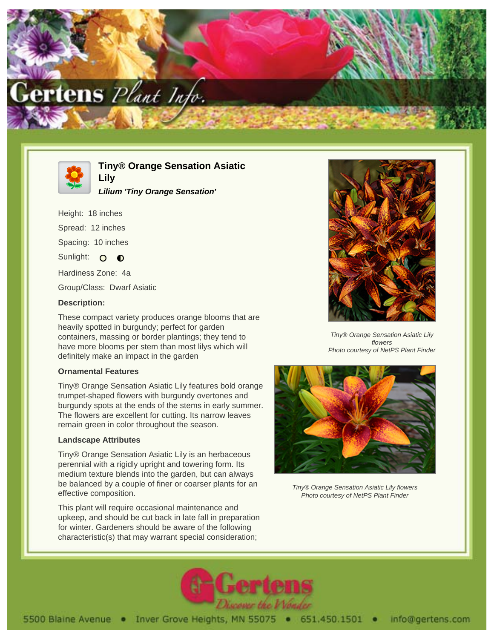



**Tiny® Orange Sensation Asiatic**

**Lilium 'Tiny Orange Sensation'**

Height: 18 inches Spread: 12 inches

Spacing: 10 inches

Sunlight: O  $\bullet$ 

Hardiness Zone: 4a

Group/Class: Dwarf Asiatic

**Lily**

## **Description:**

These compact variety produces orange blooms that are heavily spotted in burgundy; perfect for garden containers, massing or border plantings; they tend to have more blooms per stem than most lilys which will definitely make an impact in the garden

## **Ornamental Features**

Tiny® Orange Sensation Asiatic Lily features bold orange trumpet-shaped flowers with burgundy overtones and burgundy spots at the ends of the stems in early summer. The flowers are excellent for cutting. Its narrow leaves remain green in color throughout the season.

# **Landscape Attributes**

Tiny® Orange Sensation Asiatic Lily is an herbaceous perennial with a rigidly upright and towering form. Its medium texture blends into the garden, but can always be balanced by a couple of finer or coarser plants for an effective composition.

This plant will require occasional maintenance and upkeep, and should be cut back in late fall in preparation for winter. Gardeners should be aware of the following characteristic(s) that may warrant special consideration;



Tiny® Orange Sensation Asiatic Lily flowers Photo courtesy of NetPS Plant Finder



Tiny® Orange Sensation Asiatic Lily flowers Photo courtesy of NetPS Plant Finder